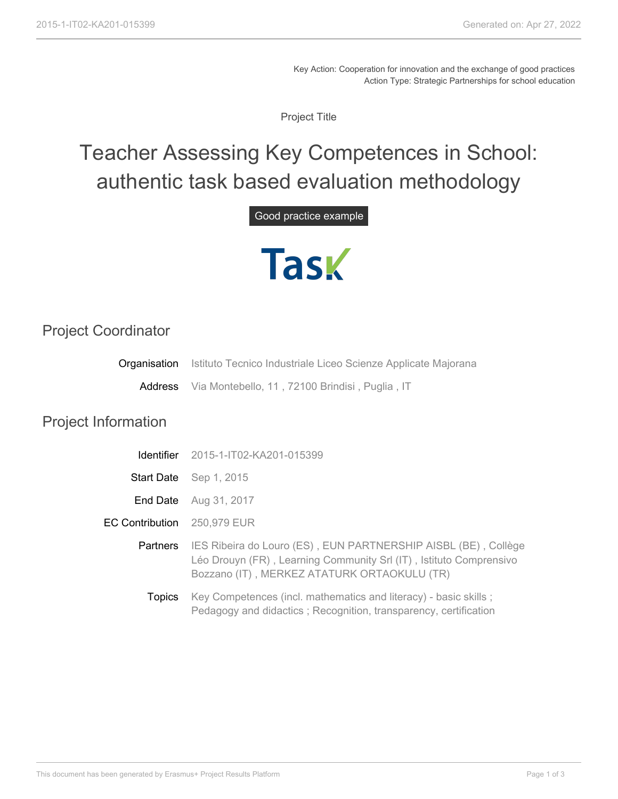Key Action: Cooperation for innovation and the exchange of good practices Action Type: Strategic Partnerships for school education

Project Title

## Teacher Assessing Key Competences in School: authentic task based evaluation methodology

## Good practice example



## Project Coordinator

| Organisation               | Istituto Tecnico Industriale Liceo Scienze Applicate Majorana                                                                                                                       |
|----------------------------|-------------------------------------------------------------------------------------------------------------------------------------------------------------------------------------|
|                            | Address Via Montebello, 11, 72100 Brindisi, Puglia, IT                                                                                                                              |
| <b>Project Information</b> |                                                                                                                                                                                     |
| <b>Identifier</b>          | 2015-1-IT02-KA201-015399                                                                                                                                                            |
|                            | Start Date Sep 1, 2015                                                                                                                                                              |
| End Date                   | Aug 31, 2017                                                                                                                                                                        |
| <b>EC Contribution</b>     | 250,979 EUR                                                                                                                                                                         |
| Partners                   | IES Ribeira do Louro (ES), EUN PARTNERSHIP AISBL (BE), Collège<br>Léo Drouyn (FR), Learning Community Srl (IT), Istituto Comprensivo<br>Bozzano (IT), MERKEZ ATATURK ORTAOKULU (TR) |
| <b>Topics</b>              | Key Competences (incl. mathematics and literacy) - basic skills;<br>Pedagogy and didactics; Recognition, transparency, certification                                                |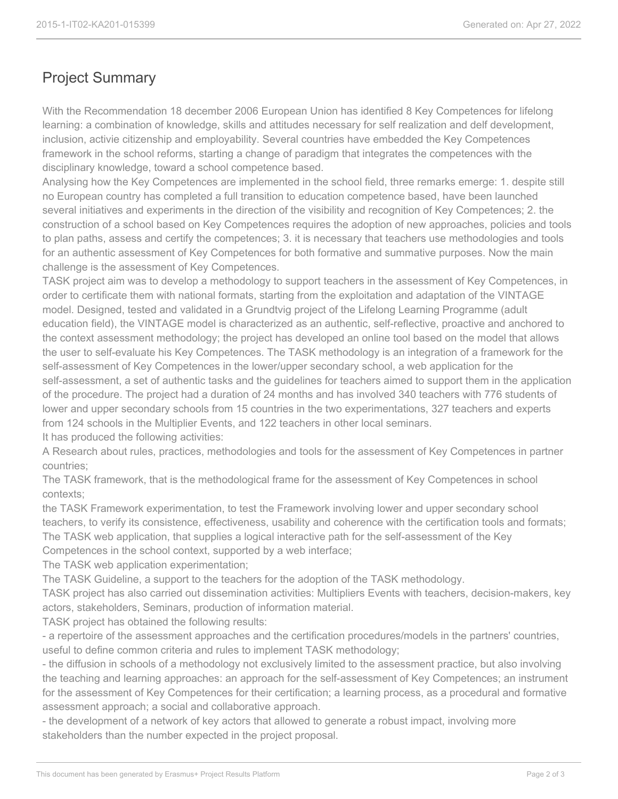## Project Summary

With the Recommendation 18 december 2006 European Union has identified 8 Key Competences for lifelong learning: a combination of knowledge, skills and attitudes necessary for self realization and delf development, inclusion, activie citizenship and employability. Several countries have embedded the Key Competences framework in the school reforms, starting a change of paradigm that integrates the competences with the disciplinary knowledge, toward a school competence based.

Analysing how the Key Competences are implemented in the school field, three remarks emerge: 1. despite still no European country has completed a full transition to education competence based, have been launched several initiatives and experiments in the direction of the visibility and recognition of Key Competences; 2. the construction of a school based on Key Competences requires the adoption of new approaches, policies and tools to plan paths, assess and certify the competences; 3. it is necessary that teachers use methodologies and tools for an authentic assessment of Key Competences for both formative and summative purposes. Now the main challenge is the assessment of Key Competences.

TASK project aim was to develop a methodology to support teachers in the assessment of Key Competences, in order to certificate them with national formats, starting from the exploitation and adaptation of the VINTAGE model. Designed, tested and validated in a Grundtvig project of the Lifelong Learning Programme (adult education field), the VINTAGE model is characterized as an authentic, self-reflective, proactive and anchored to the context assessment methodology; the project has developed an online tool based on the model that allows the user to self-evaluate his Key Competences. The TASK methodology is an integration of a framework for the self-assessment of Key Competences in the lower/upper secondary school, a web application for the self-assessment, a set of authentic tasks and the guidelines for teachers aimed to support them in the application of the procedure. The project had a duration of 24 months and has involved 340 teachers with 776 students of lower and upper secondary schools from 15 countries in the two experimentations, 327 teachers and experts from 124 schools in the Multiplier Events, and 122 teachers in other local seminars.

It has produced the following activities:

A Research about rules, practices, methodologies and tools for the assessment of Key Competences in partner countries;

The TASK framework, that is the methodological frame for the assessment of Key Competences in school contexts;

the TASK Framework experimentation, to test the Framework involving lower and upper secondary school teachers, to verify its consistence, effectiveness, usability and coherence with the certification tools and formats; The TASK web application, that supplies a logical interactive path for the self-assessment of the Key Competences in the school context, supported by a web interface;

The TASK web application experimentation;

The TASK Guideline, a support to the teachers for the adoption of the TASK methodology.

TASK project has also carried out dissemination activities: Multipliers Events with teachers, decision-makers, key actors, stakeholders, Seminars, production of information material.

TASK project has obtained the following results:

- a repertoire of the assessment approaches and the certification procedures/models in the partners' countries, useful to define common criteria and rules to implement TASK methodology;

- the diffusion in schools of a methodology not exclusively limited to the assessment practice, but also involving the teaching and learning approaches: an approach for the self-assessment of Key Competences; an instrument for the assessment of Key Competences for their certification; a learning process, as a procedural and formative assessment approach; a social and collaborative approach.

- the development of a network of key actors that allowed to generate a robust impact, involving more stakeholders than the number expected in the project proposal.